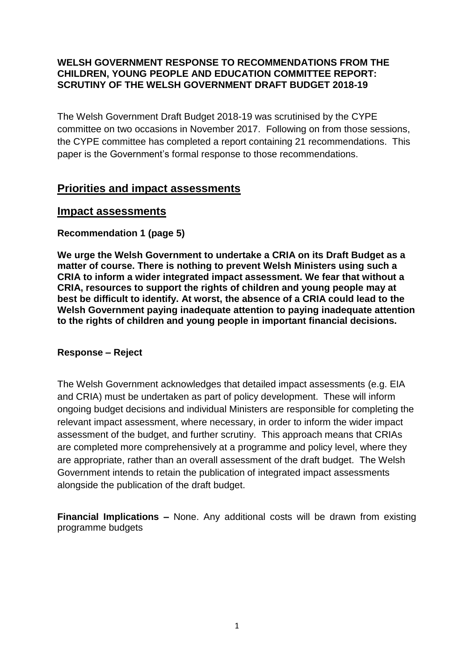## **WELSH GOVERNMENT RESPONSE TO RECOMMENDATIONS FROM THE CHILDREN, YOUNG PEOPLE AND EDUCATION COMMITTEE REPORT: SCRUTINY OF THE WELSH GOVERNMENT DRAFT BUDGET 2018-19**

The Welsh Government Draft Budget 2018-19 was scrutinised by the CYPE committee on two occasions in November 2017. Following on from those sessions, the CYPE committee has completed a report containing 21 recommendations. This paper is the Government's formal response to those recommendations.

# **Priorities and impact assessments**

# **Impact assessments**

# **Recommendation 1 (page 5)**

**We urge the Welsh Government to undertake a CRIA on its Draft Budget as a matter of course. There is nothing to prevent Welsh Ministers using such a CRIA to inform a wider integrated impact assessment. We fear that without a CRIA, resources to support the rights of children and young people may at best be difficult to identify. At worst, the absence of a CRIA could lead to the Welsh Government paying inadequate attention to paying inadequate attention to the rights of children and young people in important financial decisions.**

# **Response – Reject**

The Welsh Government acknowledges that detailed impact assessments (e.g. EIA and CRIA) must be undertaken as part of policy development. These will inform ongoing budget decisions and individual Ministers are responsible for completing the relevant impact assessment, where necessary, in order to inform the wider impact assessment of the budget, and further scrutiny. This approach means that CRIAs are completed more comprehensively at a programme and policy level, where they are appropriate, rather than an overall assessment of the draft budget. The Welsh Government intends to retain the publication of integrated impact assessments alongside the publication of the draft budget.

**Financial Implications –** None. Any additional costs will be drawn from existing programme budgets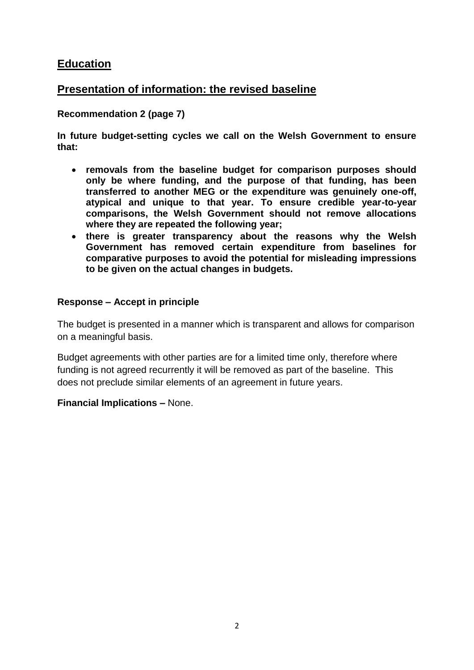# **Education**

# **Presentation of information: the revised baseline**

# **Recommendation 2 (page 7)**

**In future budget-setting cycles we call on the Welsh Government to ensure that:**

- **removals from the baseline budget for comparison purposes should only be where funding, and the purpose of that funding, has been transferred to another MEG or the expenditure was genuinely one-off, atypical and unique to that year. To ensure credible year-to-year comparisons, the Welsh Government should not remove allocations where they are repeated the following year;**
- **there is greater transparency about the reasons why the Welsh Government has removed certain expenditure from baselines for comparative purposes to avoid the potential for misleading impressions to be given on the actual changes in budgets.**

## **Response – Accept in principle**

The budget is presented in a manner which is transparent and allows for comparison on a meaningful basis.

Budget agreements with other parties are for a limited time only, therefore where funding is not agreed recurrently it will be removed as part of the baseline. This does not preclude similar elements of an agreement in future years.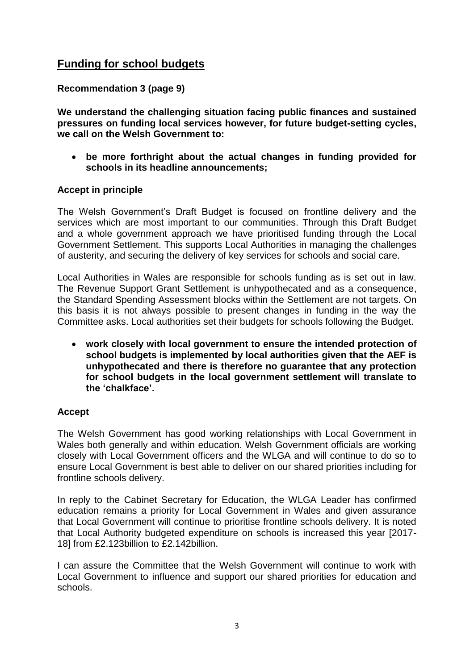# **Funding for school budgets**

## **Recommendation 3 (page 9)**

**We understand the challenging situation facing public finances and sustained pressures on funding local services however, for future budget-setting cycles, we call on the Welsh Government to:**

 **be more forthright about the actual changes in funding provided for schools in its headline announcements;**

## **Accept in principle**

The Welsh Government's Draft Budget is focused on frontline delivery and the services which are most important to our communities. Through this Draft Budget and a whole government approach we have prioritised funding through the Local Government Settlement. This supports Local Authorities in managing the challenges of austerity, and securing the delivery of key services for schools and social care.

Local Authorities in Wales are responsible for schools funding as is set out in law. The Revenue Support Grant Settlement is unhypothecated and as a consequence, the Standard Spending Assessment blocks within the Settlement are not targets. On this basis it is not always possible to present changes in funding in the way the Committee asks. Local authorities set their budgets for schools following the Budget.

 **work closely with local government to ensure the intended protection of school budgets is implemented by local authorities given that the AEF is unhypothecated and there is therefore no guarantee that any protection for school budgets in the local government settlement will translate to the 'chalkface'.** 

# **Accept**

The Welsh Government has good working relationships with Local Government in Wales both generally and within education. Welsh Government officials are working closely with Local Government officers and the WLGA and will continue to do so to ensure Local Government is best able to deliver on our shared priorities including for frontline schools delivery.

In reply to the Cabinet Secretary for Education, the WLGA Leader has confirmed education remains a priority for Local Government in Wales and given assurance that Local Government will continue to prioritise frontline schools delivery. It is noted that Local Authority budgeted expenditure on schools is increased this year [2017- 18] from £2.123billion to £2.142billion.

I can assure the Committee that the Welsh Government will continue to work with Local Government to influence and support our shared priorities for education and schools.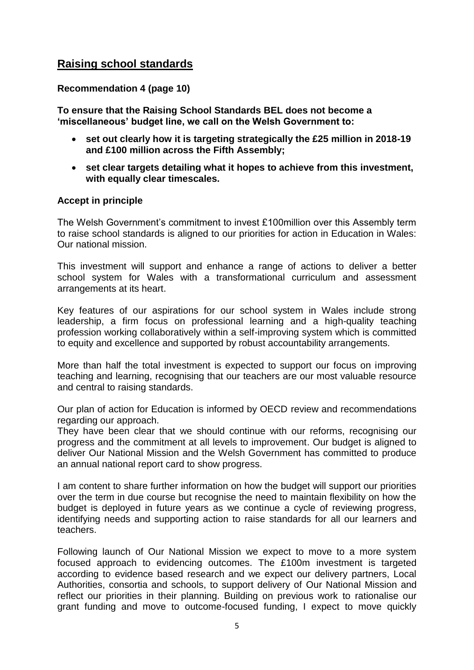# **Raising school standards**

## **Recommendation 4 (page 10)**

**To ensure that the Raising School Standards BEL does not become a 'miscellaneous' budget line, we call on the Welsh Government to:**

- **set out clearly how it is targeting strategically the £25 million in 2018-19 and £100 million across the Fifth Assembly;**
- **set clear targets detailing what it hopes to achieve from this investment, with equally clear timescales.**

#### **Accept in principle**

The Welsh Government's commitment to invest £100million over this Assembly term to raise school standards is aligned to our priorities for action in Education in Wales: Our national mission.

This investment will support and enhance a range of actions to deliver a better school system for Wales with a transformational curriculum and assessment arrangements at its heart.

Key features of our aspirations for our school system in Wales include strong leadership, a firm focus on professional learning and a high-quality teaching profession working collaboratively within a self-improving system which is committed to equity and excellence and supported by robust accountability arrangements.

More than half the total investment is expected to support our focus on improving teaching and learning, recognising that our teachers are our most valuable resource and central to raising standards.

Our plan of action for Education is informed by OECD review and recommendations regarding our approach.

They have been clear that we should continue with our reforms, recognising our progress and the commitment at all levels to improvement. Our budget is aligned to deliver Our National Mission and the Welsh Government has committed to produce an annual national report card to show progress.

I am content to share further information on how the budget will support our priorities over the term in due course but recognise the need to maintain flexibility on how the budget is deployed in future years as we continue a cycle of reviewing progress, identifying needs and supporting action to raise standards for all our learners and teachers.

Following launch of Our National Mission we expect to move to a more system focused approach to evidencing outcomes. The £100m investment is targeted according to evidence based research and we expect our delivery partners, Local Authorities, consortia and schools, to support delivery of Our National Mission and reflect our priorities in their planning. Building on previous work to rationalise our grant funding and move to outcome-focused funding, I expect to move quickly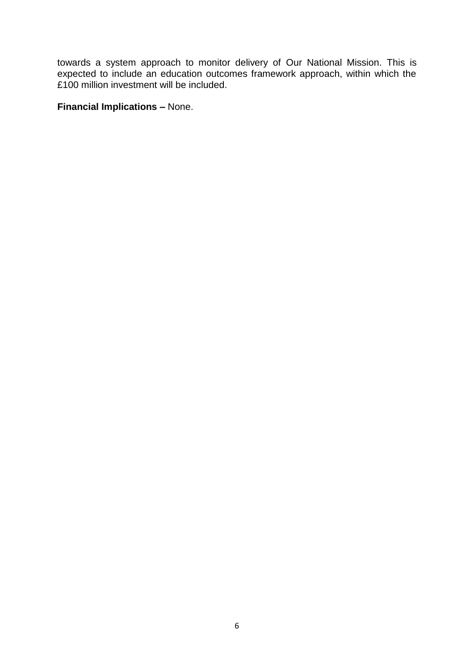towards a system approach to monitor delivery of Our National Mission. This is expected to include an education outcomes framework approach, within which the £100 million investment will be included.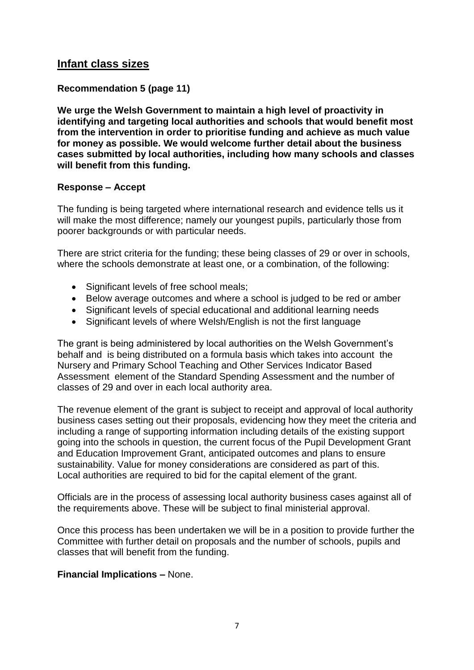# **Infant class sizes**

# **Recommendation 5 (page 11)**

**We urge the Welsh Government to maintain a high level of proactivity in identifying and targeting local authorities and schools that would benefit most from the intervention in order to prioritise funding and achieve as much value for money as possible. We would welcome further detail about the business cases submitted by local authorities, including how many schools and classes will benefit from this funding.**

#### **Response – Accept**

The funding is being targeted where international research and evidence tells us it will make the most difference; namely our youngest pupils, particularly those from poorer backgrounds or with particular needs.

There are strict criteria for the funding; these being classes of 29 or over in schools, where the schools demonstrate at least one, or a combination, of the following:

- Significant levels of free school meals;
- Below average outcomes and where a school is judged to be red or amber
- Significant levels of special educational and additional learning needs
- Significant levels of where Welsh/English is not the first language

The grant is being administered by local authorities on the Welsh Government's behalf and is being distributed on a formula basis which takes into account the Nursery and Primary School Teaching and Other Services Indicator Based Assessment element of the Standard Spending Assessment and the number of classes of 29 and over in each local authority area.

The revenue element of the grant is subject to receipt and approval of local authority business cases setting out their proposals, evidencing how they meet the criteria and including a range of supporting information including details of the existing support going into the schools in question, the current focus of the Pupil Development Grant and Education Improvement Grant, anticipated outcomes and plans to ensure sustainability. Value for money considerations are considered as part of this. Local authorities are required to bid for the capital element of the grant.

Officials are in the process of assessing local authority business cases against all of the requirements above. These will be subject to final ministerial approval.

Once this process has been undertaken we will be in a position to provide further the Committee with further detail on proposals and the number of schools, pupils and classes that will benefit from the funding.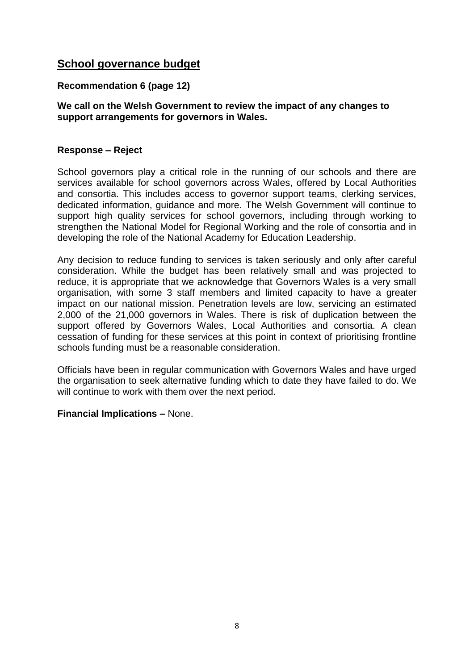# **School governance budget**

## **Recommendation 6 (page 12)**

## **We call on the Welsh Government to review the impact of any changes to support arrangements for governors in Wales.**

#### **Response – Reject**

School governors play a critical role in the running of our schools and there are services available for school governors across Wales, offered by Local Authorities and consortia. This includes access to governor support teams, clerking services, dedicated information, guidance and more. The Welsh Government will continue to support high quality services for school governors, including through working to strengthen the National Model for Regional Working and the role of consortia and in developing the role of the National Academy for Education Leadership.

Any decision to reduce funding to services is taken seriously and only after careful consideration. While the budget has been relatively small and was projected to reduce, it is appropriate that we acknowledge that Governors Wales is a very small organisation, with some 3 staff members and limited capacity to have a greater impact on our national mission. Penetration levels are low, servicing an estimated 2,000 of the 21,000 governors in Wales. There is risk of duplication between the support offered by Governors Wales, Local Authorities and consortia. A clean cessation of funding for these services at this point in context of prioritising frontline schools funding must be a reasonable consideration.

Officials have been in regular communication with Governors Wales and have urged the organisation to seek alternative funding which to date they have failed to do. We will continue to work with them over the next period.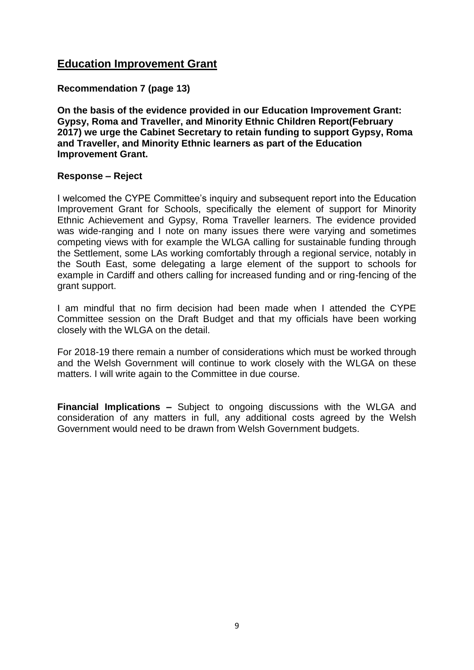# **Education Improvement Grant**

## **Recommendation 7 (page 13)**

**On the basis of the evidence provided in our Education Improvement Grant: Gypsy, Roma and Traveller, and Minority Ethnic Children Report(February 2017) we urge the Cabinet Secretary to retain funding to support Gypsy, Roma and Traveller, and Minority Ethnic learners as part of the Education Improvement Grant.**

## **Response – Reject**

I welcomed the CYPE Committee's inquiry and subsequent report into the Education Improvement Grant for Schools, specifically the element of support for Minority Ethnic Achievement and Gypsy, Roma Traveller learners. The evidence provided was wide-ranging and I note on many issues there were varying and sometimes competing views with for example the WLGA calling for sustainable funding through the Settlement, some LAs working comfortably through a regional service, notably in the South East, some delegating a large element of the support to schools for example in Cardiff and others calling for increased funding and or ring-fencing of the grant support.

I am mindful that no firm decision had been made when I attended the CYPE Committee session on the Draft Budget and that my officials have been working closely with the WLGA on the detail.

For 2018-19 there remain a number of considerations which must be worked through and the Welsh Government will continue to work closely with the WLGA on these matters. I will write again to the Committee in due course.

**Financial Implications –** Subject to ongoing discussions with the WLGA and consideration of any matters in full, any additional costs agreed by the Welsh Government would need to be drawn from Welsh Government budgets.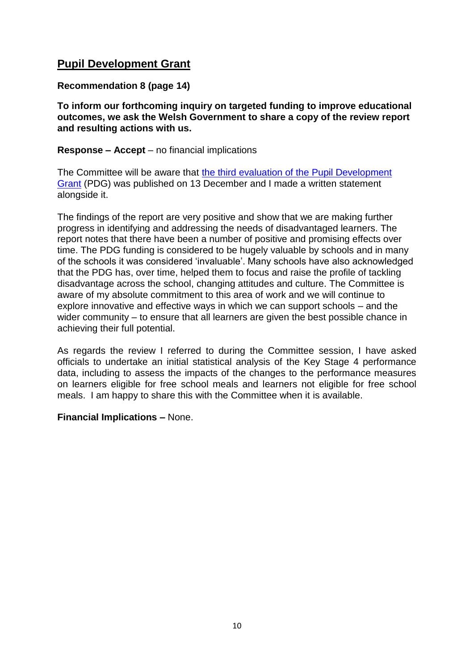# **Pupil Development Grant**

## **Recommendation 8 (page 14)**

**To inform our forthcoming inquiry on targeted funding to improve educational outcomes, we ask the Welsh Government to share a copy of the review report and resulting actions with us.**

#### **Response – Accept** – no financial implications

The Committee will be aware that [the third evaluation of the](http://gov.wales/statistics-and-research/evaluation-pupil-deprivation-grant/?lang=en) Pupil Development [Grant](http://gov.wales/statistics-and-research/evaluation-pupil-deprivation-grant/?lang=en) (PDG) was published on 13 December and I made a written statement alongside it.

The findings of the report are very positive and show that we are making further progress in identifying and addressing the needs of disadvantaged learners. The report notes that there have been a number of positive and promising effects over time. The PDG funding is considered to be hugely valuable by schools and in many of the schools it was considered 'invaluable'. Many schools have also acknowledged that the PDG has, over time, helped them to focus and raise the profile of tackling disadvantage across the school, changing attitudes and culture. The Committee is aware of my absolute commitment to this area of work and we will continue to explore innovative and effective ways in which we can support schools – and the wider community – to ensure that all learners are given the best possible chance in achieving their full potential.

As regards the review I referred to during the Committee session, I have asked officials to undertake an initial statistical analysis of the Key Stage 4 performance data, including to assess the impacts of the changes to the performance measures on learners eligible for free school meals and learners not eligible for free school meals. I am happy to share this with the Committee when it is available.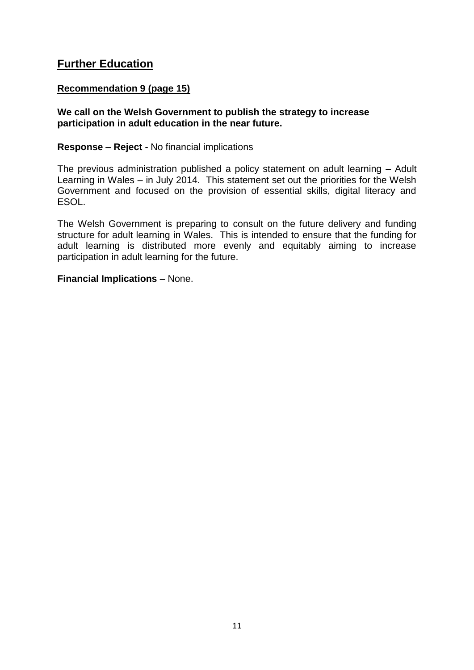# **Further Education**

## **Recommendation 9 (page 15)**

#### **We call on the Welsh Government to publish the strategy to increase participation in adult education in the near future.**

#### **Response – Reject -** No financial implications

The previous administration published a policy statement on adult learning – Adult Learning in Wales – in July 2014. This statement set out the priorities for the Welsh Government and focused on the provision of essential skills, digital literacy and ESOL.

The Welsh Government is preparing to consult on the future delivery and funding structure for adult learning in Wales. This is intended to ensure that the funding for adult learning is distributed more evenly and equitably aiming to increase participation in adult learning for the future.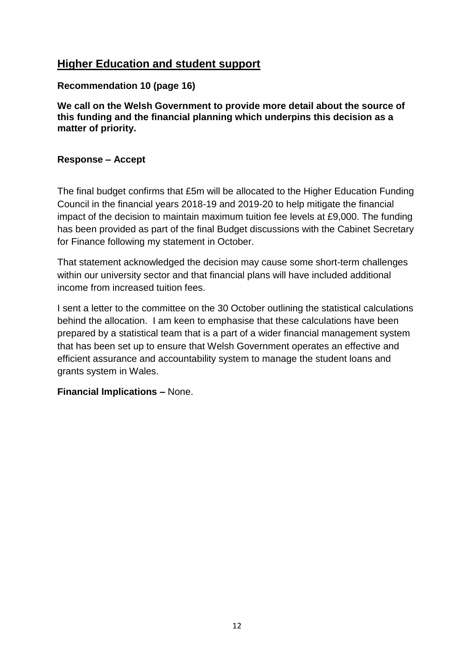# **Higher Education and student support**

## **Recommendation 10 (page 16)**

**We call on the Welsh Government to provide more detail about the source of this funding and the financial planning which underpins this decision as a matter of priority.** 

## **Response – Accept**

The final budget confirms that £5m will be allocated to the Higher Education Funding Council in the financial years 2018-19 and 2019-20 to help mitigate the financial impact of the decision to maintain maximum tuition fee levels at £9,000. The funding has been provided as part of the final Budget discussions with the Cabinet Secretary for Finance following my statement in October.

That statement acknowledged the decision may cause some short-term challenges within our university sector and that financial plans will have included additional income from increased tuition fees.

I sent a letter to the committee on the 30 October outlining the statistical calculations behind the allocation. I am keen to emphasise that these calculations have been prepared by a statistical team that is a part of a wider financial management system that has been set up to ensure that Welsh Government operates an effective and efficient assurance and accountability system to manage the student loans and grants system in Wales.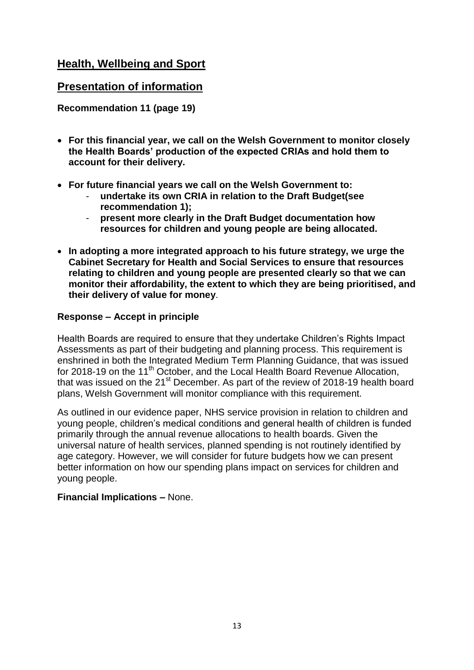# **Health, Wellbeing and Sport**

# **Presentation of information**

**Recommendation 11 (page 19)**

- **For this financial year, we call on the Welsh Government to monitor closely the Health Boards' production of the expected CRIAs and hold them to account for their delivery.**
- **For future financial years we call on the Welsh Government to:**
	- **undertake its own CRIA in relation to the Draft Budget(see recommendation 1);**
	- **present more clearly in the Draft Budget documentation how resources for children and young people are being allocated.**
- **In adopting a more integrated approach to his future strategy, we urge the Cabinet Secretary for Health and Social Services to ensure that resources relating to children and young people are presented clearly so that we can monitor their affordability, the extent to which they are being prioritised, and their delivery of value for money**.

# **Response – Accept in principle**

Health Boards are required to ensure that they undertake Children's Rights Impact Assessments as part of their budgeting and planning process. This requirement is enshrined in both the Integrated Medium Term Planning Guidance, that was issued for 2018-19 on the 11<sup>th</sup> October, and the Local Health Board Revenue Allocation, that was issued on the  $21<sup>st</sup>$  December. As part of the review of 2018-19 health board plans, Welsh Government will monitor compliance with this requirement.

As outlined in our evidence paper, NHS service provision in relation to children and young people, children's medical conditions and general health of children is funded primarily through the annual revenue allocations to health boards. Given the universal nature of health services, planned spending is not routinely identified by age category. However, we will consider for future budgets how we can present better information on how our spending plans impact on services for children and young people.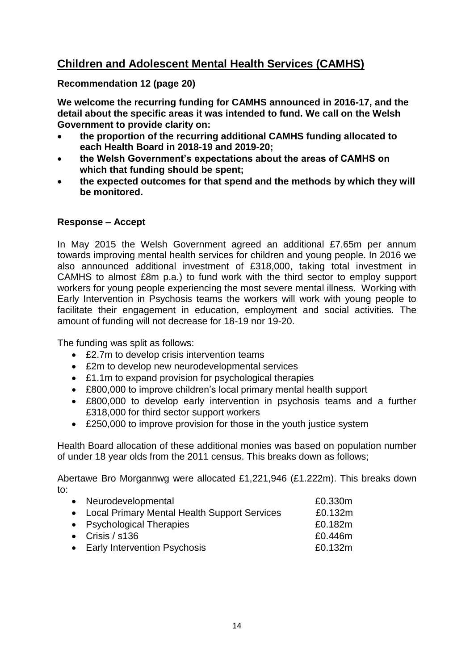# **Children and Adolescent Mental Health Services (CAMHS)**

## **Recommendation 12 (page 20)**

**We welcome the recurring funding for CAMHS announced in 2016-17, and the detail about the specific areas it was intended to fund. We call on the Welsh Government to provide clarity on:**

- **the proportion of the recurring additional CAMHS funding allocated to each Health Board in 2018-19 and 2019-20;**
- **the Welsh Government's expectations about the areas of CAMHS on which that funding should be spent;**
- **the expected outcomes for that spend and the methods by which they will be monitored.**

#### **Response – Accept**

In May 2015 the Welsh Government agreed an additional £7.65m per annum towards improving mental health services for children and young people. In 2016 we also announced additional investment of £318,000, taking total investment in CAMHS to almost £8m p.a.) to fund work with the third sector to employ support workers for young people experiencing the most severe mental illness. Working with Early Intervention in Psychosis teams the workers will work with young people to facilitate their engagement in education, employment and social activities. The amount of funding will not decrease for 18-19 nor 19-20.

The funding was split as follows:

- £2.7m to develop crisis intervention teams
- £2m to develop new neurodevelopmental services
- £1.1m to expand provision for psychological therapies
- £800,000 to improve children's local primary mental health support
- £800,000 to develop early intervention in psychosis teams and a further £318,000 for third sector support workers
- £250,000 to improve provision for those in the youth justice system

Health Board allocation of these additional monies was based on population number of under 18 year olds from the 2011 census. This breaks down as follows;

Abertawe Bro Morgannwg were allocated £1,221,946 (£1.222m). This breaks down to:

| • Neurodevelopmental                           | £0.330m |
|------------------------------------------------|---------|
| • Local Primary Mental Health Support Services | £0.132m |
| • Psychological Therapies                      | £0.182m |
| • Crisis $/$ s136                              | £0.446m |
| • Early Intervention Psychosis                 | £0.132m |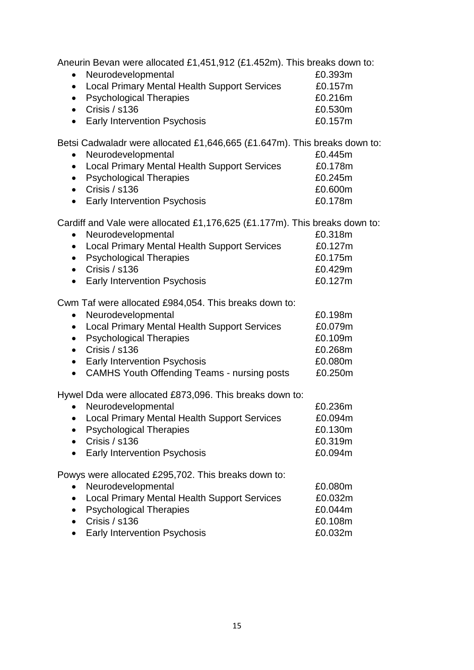Aneurin Bevan were allocated £1,451,912 (£1.452m). This breaks down to:

| • Neurodevelopmental                           | £0.393m |
|------------------------------------------------|---------|
| • Local Primary Mental Health Support Services | £0.157m |
| • Psychological Therapies                      | £0.216m |
| • Crisis $/ s136$                              | £0.530m |
| • Early Intervention Psychosis                 | £0.157m |

Betsi Cadwaladr were allocated £1,646,665 (£1.647m). This breaks down to:

| • Neurodevelopmental                           | £0.445m |
|------------------------------------------------|---------|
| • Local Primary Mental Health Support Services | £0.178m |
| • Psychological Therapies                      | £0.245m |
| • Crisis $/ s136$                              | £0.600m |
| • Early Intervention Psychosis                 | £0.178m |

Cardiff and Vale were allocated £1,176,625 (£1.177m). This breaks down to:

| $\sim$ . The second contract with the second term in the second term in the second term in $\sim$ |         |
|---------------------------------------------------------------------------------------------------|---------|
| • Neurodevelopmental                                                                              | £0.318m |
| • Local Primary Mental Health Support Services                                                    | £0.127m |
| • Psychological Therapies                                                                         | £0.175m |
| • Crisis / $s136$                                                                                 | £0.429m |
| • Early Intervention Psychosis                                                                    | £0.127m |

Cwm Taf were allocated £984,054. This breaks down to:

| • Neurodevelopmental                           | £0.198m |
|------------------------------------------------|---------|
| • Local Primary Mental Health Support Services | £0.079m |
| • Psychological Therapies                      | £0.109m |
| • Crisis $/ s136$                              | £0.268m |
| • Early Intervention Psychosis                 | £0.080m |
| • CAMHS Youth Offending Teams - nursing posts  | £0.250m |

Hywel Dda were allocated £873,096. This breaks down to:

| Neurodevelopmental<br>$\bullet$                                  | £0.236m |
|------------------------------------------------------------------|---------|
| <b>Local Primary Mental Health Support Services</b><br>$\bullet$ | £0.094m |
| <b>Psychological Therapies</b><br>$\bullet$                      | £0.130m |
| Crisis / s136                                                    | £0.319m |
| <b>Early Intervention Psychosis</b><br>$\bullet$                 | £0.094m |
| Powys were allocated £295,702. This breaks down to:              |         |
| Neurodevelopmental                                               | £0.080m |
| <b>Local Primary Mental Health Support Services</b><br>$\bullet$ | £0.032m |
| <b>Psychological Therapies</b>                                   | £0.044m |
| Crisis / s136<br>$\bullet$                                       | £0.108m |
| Early Intervention Devehocie                                     | cu ussu |

• Early Intervention Psychosis **EXACT 6** E0.032m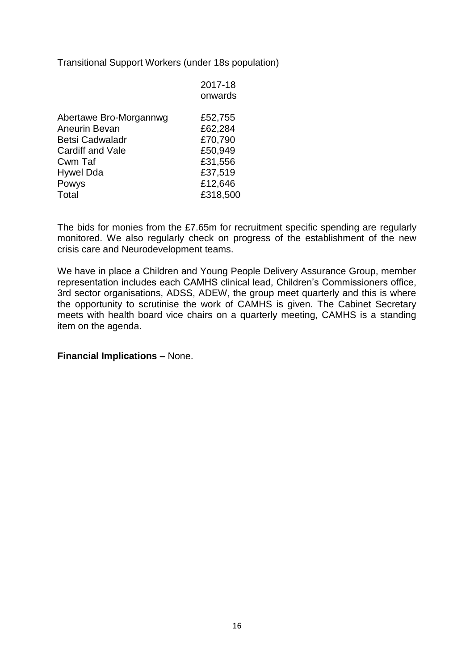Transitional Support Workers (under 18s population)

|                        | 2017-18<br>onwards |
|------------------------|--------------------|
| Abertawe Bro-Morgannwg | £52,755            |
| Aneurin Bevan          | £62,284            |
| <b>Betsi Cadwaladr</b> | £70,790            |
| Cardiff and Vale       | £50,949            |
| Cwm Taf                | £31,556            |
| <b>Hywel Dda</b>       | £37,519            |
| Powys                  | £12,646            |
| Total                  | £318,500           |
|                        |                    |

The bids for monies from the £7.65m for recruitment specific spending are regularly monitored. We also regularly check on progress of the establishment of the new crisis care and Neurodevelopment teams.

We have in place a Children and Young People Delivery Assurance Group, member representation includes each CAMHS clinical lead, Children's Commissioners office, 3rd sector organisations, ADSS, ADEW, the group meet quarterly and this is where the opportunity to scrutinise the work of CAMHS is given. The Cabinet Secretary meets with health board vice chairs on a quarterly meeting, CAMHS is a standing item on the agenda.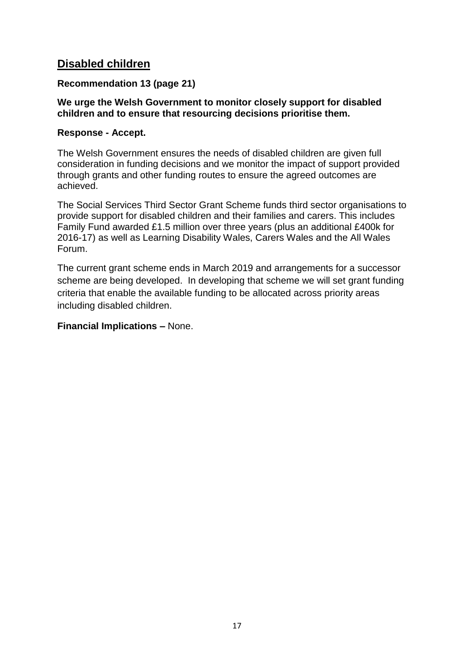# **Disabled children**

# **Recommendation 13 (page 21)**

## **We urge the Welsh Government to monitor closely support for disabled children and to ensure that resourcing decisions prioritise them.**

# **Response - Accept.**

The Welsh Government ensures the needs of disabled children are given full consideration in funding decisions and we monitor the impact of support provided through grants and other funding routes to ensure the agreed outcomes are achieved.

The Social Services Third Sector Grant Scheme funds third sector organisations to provide support for disabled children and their families and carers. This includes Family Fund awarded £1.5 million over three years (plus an additional £400k for 2016-17) as well as Learning Disability Wales, Carers Wales and the All Wales Forum.

The current grant scheme ends in March 2019 and arrangements for a successor scheme are being developed. In developing that scheme we will set grant funding criteria that enable the available funding to be allocated across priority areas including disabled children.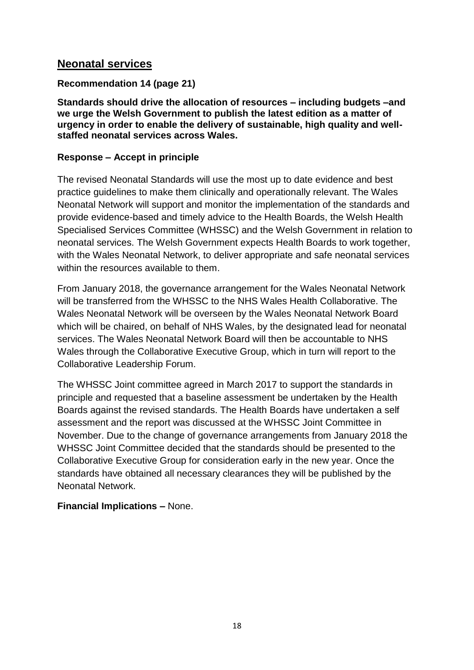# **Neonatal services**

# **Recommendation 14 (page 21)**

**Standards should drive the allocation of resources – including budgets –and we urge the Welsh Government to publish the latest edition as a matter of urgency in order to enable the delivery of sustainable, high quality and wellstaffed neonatal services across Wales.**

# **Response – Accept in principle**

The revised Neonatal Standards will use the most up to date evidence and best practice guidelines to make them clinically and operationally relevant. The Wales Neonatal Network will support and monitor the implementation of the standards and provide evidence-based and timely advice to the Health Boards, the Welsh Health Specialised Services Committee (WHSSC) and the Welsh Government in relation to neonatal services. The Welsh Government expects Health Boards to work together, with the Wales Neonatal Network, to deliver appropriate and safe neonatal services within the resources available to them.

From January 2018, the governance arrangement for the Wales Neonatal Network will be transferred from the WHSSC to the NHS Wales Health Collaborative. The Wales Neonatal Network will be overseen by the Wales Neonatal Network Board which will be chaired, on behalf of NHS Wales, by the designated lead for neonatal services. The Wales Neonatal Network Board will then be accountable to NHS Wales through the Collaborative Executive Group, which in turn will report to the Collaborative Leadership Forum.

The WHSSC Joint committee agreed in March 2017 to support the standards in principle and requested that a baseline assessment be undertaken by the Health Boards against the revised standards. The Health Boards have undertaken a self assessment and the report was discussed at the WHSSC Joint Committee in November. Due to the change of governance arrangements from January 2018 the WHSSC Joint Committee decided that the standards should be presented to the Collaborative Executive Group for consideration early in the new year. Once the standards have obtained all necessary clearances they will be published by the Neonatal Network.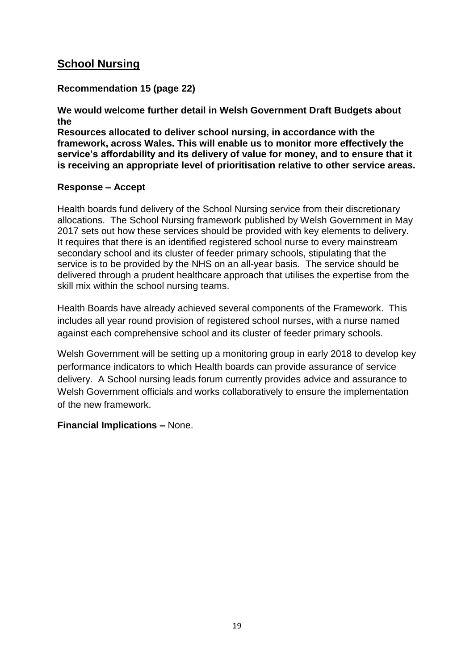# **School Nursing**

# **Recommendation 15 (page 22)**

## **We would welcome further detail in Welsh Government Draft Budgets about the**

**Resources allocated to deliver school nursing, in accordance with the framework, across Wales. This will enable us to monitor more effectively the service's affordability and its delivery of value for money, and to ensure that it is receiving an appropriate level of prioritisation relative to other service areas.**

## **Response – Accept**

Health boards fund delivery of the School Nursing service from their discretionary allocations. The School Nursing framework published by Welsh Government in May 2017 sets out how these services should be provided with key elements to delivery. It requires that there is an identified registered school nurse to every mainstream secondary school and its cluster of feeder primary schools, stipulating that the service is to be provided by the NHS on an all-year basis. The service should be delivered through a prudent healthcare approach that utilises the expertise from the skill mix within the school nursing teams.

Health Boards have already achieved several components of the Framework. This includes all year round provision of registered school nurses, with a nurse named against each comprehensive school and its cluster of feeder primary schools.

Welsh Government will be setting up a monitoring group in early 2018 to develop key performance indicators to which Health boards can provide assurance of service delivery. A School nursing leads forum currently provides advice and assurance to Welsh Government officials and works collaboratively to ensure the implementation of the new framework.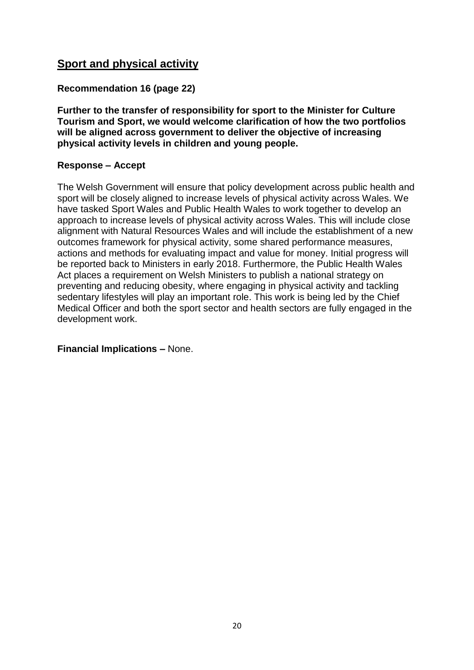# **Sport and physical activity**

# **Recommendation 16 (page 22)**

**Further to the transfer of responsibility for sport to the Minister for Culture Tourism and Sport, we would welcome clarification of how the two portfolios will be aligned across government to deliver the objective of increasing physical activity levels in children and young people.**

## **Response – Accept**

The Welsh Government will ensure that policy development across public health and sport will be closely aligned to increase levels of physical activity across Wales. We have tasked Sport Wales and Public Health Wales to work together to develop an approach to increase levels of physical activity across Wales. This will include close alignment with Natural Resources Wales and will include the establishment of a new outcomes framework for physical activity, some shared performance measures, actions and methods for evaluating impact and value for money. Initial progress will be reported back to Ministers in early 2018. Furthermore, the Public Health Wales Act places a requirement on Welsh Ministers to publish a national strategy on preventing and reducing obesity, where engaging in physical activity and tackling sedentary lifestyles will play an important role. This work is being led by the Chief Medical Officer and both the sport sector and health sectors are fully engaged in the development work.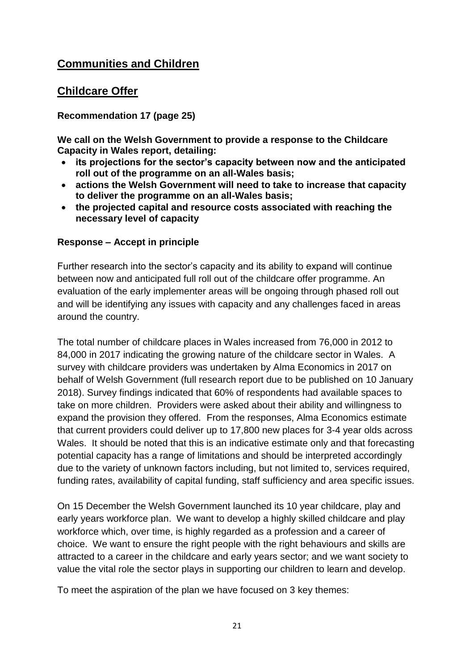# **Communities and Children**

# **Childcare Offer**

# **Recommendation 17 (page 25)**

**We call on the Welsh Government to provide a response to the Childcare Capacity in Wales report, detailing:**

- **its projections for the sector's capacity between now and the anticipated roll out of the programme on an all-Wales basis;**
- **actions the Welsh Government will need to take to increase that capacity to deliver the programme on an all-Wales basis;**
- **the projected capital and resource costs associated with reaching the necessary level of capacity**

# **Response – Accept in principle**

Further research into the sector's capacity and its ability to expand will continue between now and anticipated full roll out of the childcare offer programme. An evaluation of the early implementer areas will be ongoing through phased roll out and will be identifying any issues with capacity and any challenges faced in areas around the country.

The total number of childcare places in Wales increased from 76,000 in 2012 to 84,000 in 2017 indicating the growing nature of the childcare sector in Wales. A survey with childcare providers was undertaken by Alma Economics in 2017 on behalf of Welsh Government (full research report due to be published on 10 January 2018). Survey findings indicated that 60% of respondents had available spaces to take on more children. Providers were asked about their ability and willingness to expand the provision they offered. From the responses, Alma Economics estimate that current providers could deliver up to 17,800 new places for 3-4 year olds across Wales. It should be noted that this is an indicative estimate only and that forecasting potential capacity has a range of limitations and should be interpreted accordingly due to the variety of unknown factors including, but not limited to, services required, funding rates, availability of capital funding, staff sufficiency and area specific issues.

On 15 December the Welsh Government launched its 10 year childcare, play and early years workforce plan. We want to develop a highly skilled childcare and play workforce which, over time, is highly regarded as a profession and a career of choice. We want to ensure the right people with the right behaviours and skills are attracted to a career in the childcare and early years sector; and we want society to value the vital role the sector plays in supporting our children to learn and develop.

To meet the aspiration of the plan we have focused on 3 key themes: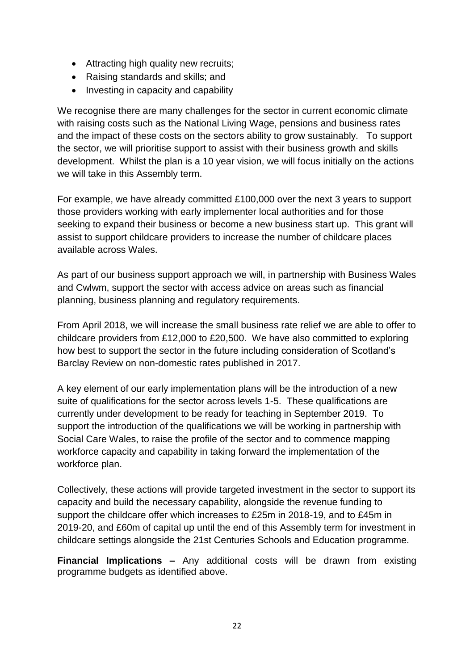- Attracting high quality new recruits;
- Raising standards and skills; and
- Investing in capacity and capability

We recognise there are many challenges for the sector in current economic climate with raising costs such as the National Living Wage, pensions and business rates and the impact of these costs on the sectors ability to grow sustainably. To support the sector, we will prioritise support to assist with their business growth and skills development. Whilst the plan is a 10 year vision, we will focus initially on the actions we will take in this Assembly term.

For example, we have already committed £100,000 over the next 3 years to support those providers working with early implementer local authorities and for those seeking to expand their business or become a new business start up. This grant will assist to support childcare providers to increase the number of childcare places available across Wales.

As part of our business support approach we will, in partnership with Business Wales and Cwlwm, support the sector with access advice on areas such as financial planning, business planning and regulatory requirements.

From April 2018, we will increase the small business rate relief we are able to offer to childcare providers from £12,000 to £20,500. We have also committed to exploring how best to support the sector in the future including consideration of Scotland's Barclay Review on non-domestic rates published in 2017.

A key element of our early implementation plans will be the introduction of a new suite of qualifications for the sector across levels 1-5. These qualifications are currently under development to be ready for teaching in September 2019. To support the introduction of the qualifications we will be working in partnership with Social Care Wales, to raise the profile of the sector and to commence mapping workforce capacity and capability in taking forward the implementation of the workforce plan.

Collectively, these actions will provide targeted investment in the sector to support its capacity and build the necessary capability, alongside the revenue funding to support the childcare offer which increases to £25m in 2018-19, and to £45m in 2019-20, and £60m of capital up until the end of this Assembly term for investment in childcare settings alongside the 21st Centuries Schools and Education programme.

**Financial Implications –** Any additional costs will be drawn from existing programme budgets as identified above.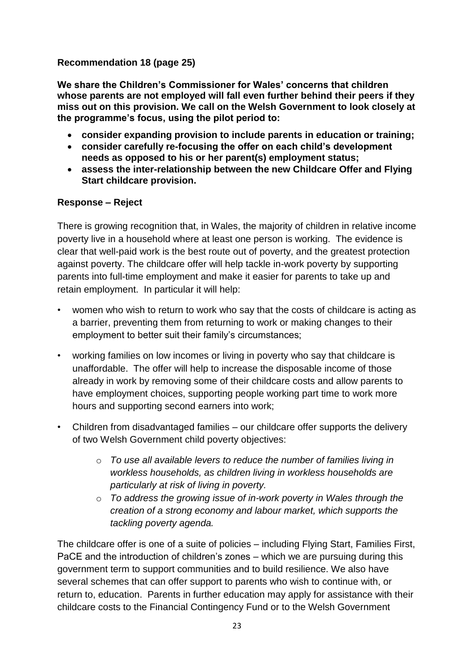# **Recommendation 18 (page 25)**

**We share the Children's Commissioner for Wales' concerns that children whose parents are not employed will fall even further behind their peers if they miss out on this provision. We call on the Welsh Government to look closely at the programme's focus, using the pilot period to:**

- **consider expanding provision to include parents in education or training;**
- **consider carefully re-focusing the offer on each child's development needs as opposed to his or her parent(s) employment status;**
- **assess the inter-relationship between the new Childcare Offer and Flying Start childcare provision.**

# **Response – Reject**

There is growing recognition that, in Wales, the majority of children in relative income poverty live in a household where at least one person is working. The evidence is clear that well-paid work is the best route out of poverty, and the greatest protection against poverty. The childcare offer will help tackle in-work poverty by supporting parents into full-time employment and make it easier for parents to take up and retain employment. In particular it will help:

- women who wish to return to work who say that the costs of childcare is acting as a barrier, preventing them from returning to work or making changes to their employment to better suit their family's circumstances;
- working families on low incomes or living in poverty who say that childcare is unaffordable. The offer will help to increase the disposable income of those already in work by removing some of their childcare costs and allow parents to have employment choices, supporting people working part time to work more hours and supporting second earners into work;
- Children from disadvantaged families our childcare offer supports the delivery of two Welsh Government child poverty objectives:
	- o *To use all available levers to reduce the number of families living in workless households, as children living in workless households are particularly at risk of living in poverty.*
	- o *To address the growing issue of in-work poverty in Wales through the creation of a strong economy and labour market, which supports the tackling poverty agenda.*

The childcare offer is one of a suite of policies – including Flying Start, Families First, PaCE and the introduction of children's zones – which we are pursuing during this government term to support communities and to build resilience. We also have several schemes that can offer support to parents who wish to continue with, or return to, education. Parents in further education may apply for assistance with their childcare costs to the Financial Contingency Fund or to the Welsh Government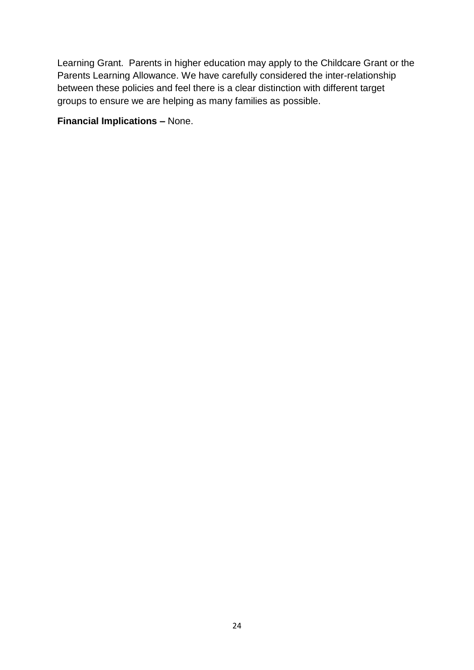Learning Grant. Parents in higher education may apply to the Childcare Grant or the Parents Learning Allowance. We have carefully considered the inter-relationship between these policies and feel there is a clear distinction with different target groups to ensure we are helping as many families as possible.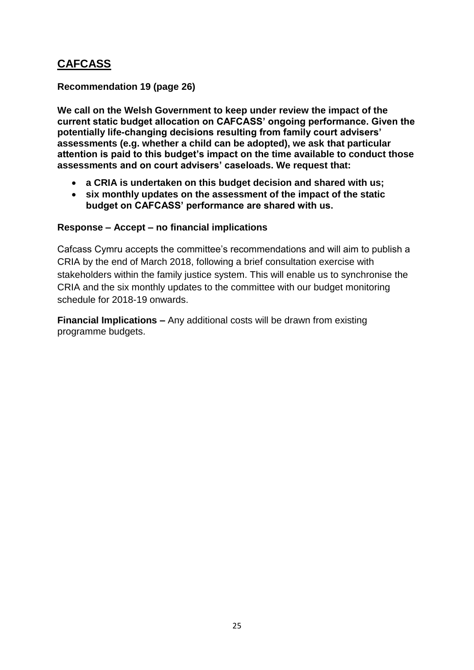# **CAFCASS**

**Recommendation 19 (page 26)**

**We call on the Welsh Government to keep under review the impact of the current static budget allocation on CAFCASS' ongoing performance. Given the potentially life-changing decisions resulting from family court advisers' assessments (e.g. whether a child can be adopted), we ask that particular attention is paid to this budget's impact on the time available to conduct those assessments and on court advisers' caseloads. We request that:**

- **a CRIA is undertaken on this budget decision and shared with us;**
- **six monthly updates on the assessment of the impact of the static budget on CAFCASS' performance are shared with us.**

# **Response – Accept – no financial implications**

Cafcass Cymru accepts the committee's recommendations and will aim to publish a CRIA by the end of March 2018, following a brief consultation exercise with stakeholders within the family justice system. This will enable us to synchronise the CRIA and the six monthly updates to the committee with our budget monitoring schedule for 2018-19 onwards.

**Financial Implications –** Any additional costs will be drawn from existing programme budgets.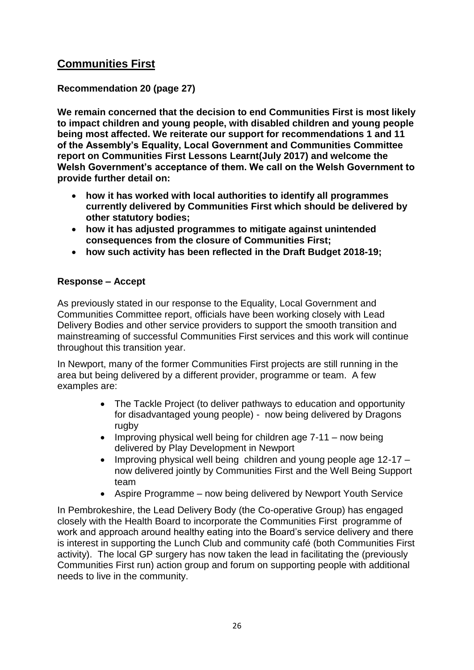# **Communities First**

# **Recommendation 20 (page 27)**

**We remain concerned that the decision to end Communities First is most likely to impact children and young people, with disabled children and young people being most affected. We reiterate our support for recommendations 1 and 11 of the Assembly's Equality, Local Government and Communities Committee report on Communities First Lessons Learnt(July 2017) and welcome the Welsh Government's acceptance of them. We call on the Welsh Government to provide further detail on:**

- **how it has worked with local authorities to identify all programmes currently delivered by Communities First which should be delivered by other statutory bodies;**
- **how it has adjusted programmes to mitigate against unintended consequences from the closure of Communities First;**
- **how such activity has been reflected in the Draft Budget 2018-19;**

## **Response – Accept**

As previously stated in our response to the Equality, Local Government and Communities Committee report, officials have been working closely with Lead Delivery Bodies and other service providers to support the smooth transition and mainstreaming of successful Communities First services and this work will continue throughout this transition year.

In Newport, many of the former Communities First projects are still running in the area but being delivered by a different provider, programme or team. A few examples are:

- The Tackle Project (to deliver pathways to education and opportunity for disadvantaged young people) - now being delivered by Dragons rugby
- $\bullet$  Improving physical well being for children age  $7-11$  now being delivered by Play Development in Newport
- $\bullet$  Improving physical well being children and young people age 12-17 now delivered jointly by Communities First and the Well Being Support team
- Aspire Programme now being delivered by Newport Youth Service

In Pembrokeshire, the Lead Delivery Body (the Co-operative Group) has engaged closely with the Health Board to incorporate the Communities First programme of work and approach around healthy eating into the Board's service delivery and there is interest in supporting the Lunch Club and community café (both Communities First activity). The local GP surgery has now taken the lead in facilitating the (previously Communities First run) action group and forum on supporting people with additional needs to live in the community.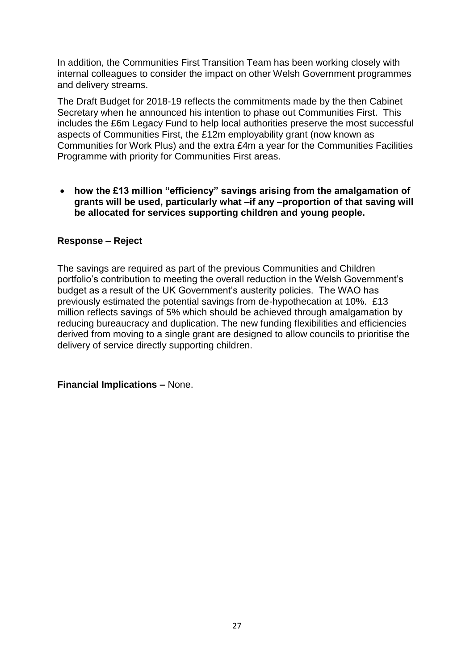In addition, the Communities First Transition Team has been working closely with internal colleagues to consider the impact on other Welsh Government programmes and delivery streams.

The Draft Budget for 2018-19 reflects the commitments made by the then Cabinet Secretary when he announced his intention to phase out Communities First. This includes the £6m Legacy Fund to help local authorities preserve the most successful aspects of Communities First, the £12m employability grant (now known as Communities for Work Plus) and the extra £4m a year for the Communities Facilities Programme with priority for Communities First areas.

 **how the £13 million "efficiency" savings arising from the amalgamation of grants will be used, particularly what –if any –proportion of that saving will be allocated for services supporting children and young people.**

## **Response – Reject**

The savings are required as part of the previous Communities and Children portfolio's contribution to meeting the overall reduction in the Welsh Government's budget as a result of the UK Government's austerity policies. The WAO has previously estimated the potential savings from de-hypothecation at 10%. £13 million reflects savings of 5% which should be achieved through amalgamation by reducing bureaucracy and duplication. The new funding flexibilities and efficiencies derived from moving to a single grant are designed to allow councils to prioritise the delivery of service directly supporting children.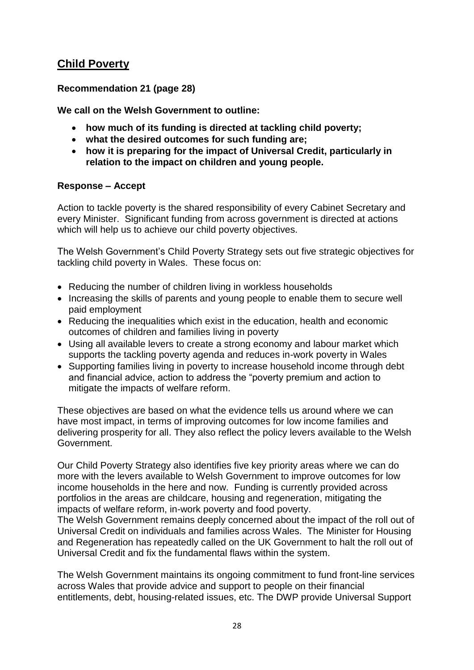# **Child Poverty**

# **Recommendation 21 (page 28)**

**We call on the Welsh Government to outline:**

- **how much of its funding is directed at tackling child poverty;**
- **what the desired outcomes for such funding are;**
- **how it is preparing for the impact of Universal Credit, particularly in relation to the impact on children and young people.**

#### **Response – Accept**

Action to tackle poverty is the shared responsibility of every Cabinet Secretary and every Minister. Significant funding from across government is directed at actions which will help us to achieve our child poverty objectives.

The Welsh Government's Child Poverty Strategy sets out five strategic objectives for tackling child poverty in Wales. These focus on:

- Reducing the number of children living in workless households
- Increasing the skills of parents and young people to enable them to secure well paid employment
- Reducing the inequalities which exist in the education, health and economic outcomes of children and families living in poverty
- Using all available levers to create a strong economy and labour market which supports the tackling poverty agenda and reduces in-work poverty in Wales
- Supporting families living in poverty to increase household income through debt and financial advice, action to address the "poverty premium and action to mitigate the impacts of welfare reform.

These objectives are based on what the evidence tells us around where we can have most impact, in terms of improving outcomes for low income families and delivering prosperity for all. They also reflect the policy levers available to the Welsh Government.

Our Child Poverty Strategy also identifies five key priority areas where we can do more with the levers available to Welsh Government to improve outcomes for low income households in the here and now. Funding is currently provided across portfolios in the areas are childcare, housing and regeneration, mitigating the impacts of welfare reform, in-work poverty and food poverty.

The Welsh Government remains deeply concerned about the impact of the roll out of Universal Credit on individuals and families across Wales. The Minister for Housing and Regeneration has repeatedly called on the UK Government to halt the roll out of Universal Credit and fix the fundamental flaws within the system.

The Welsh Government maintains its ongoing commitment to fund front-line services across Wales that provide advice and support to people on their financial entitlements, debt, housing-related issues, etc. The DWP provide Universal Support